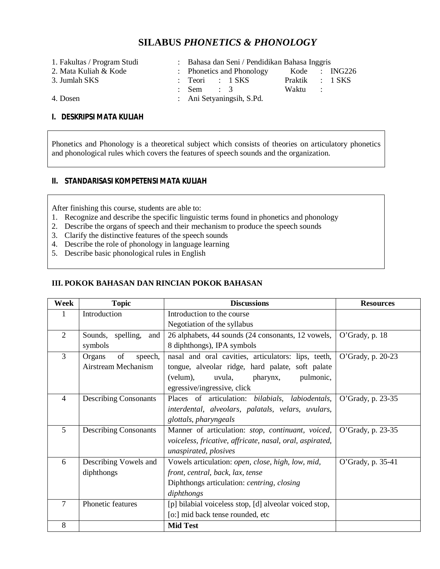# **SILABUS** *PHONETICS & PHONOLOGY*

- 
- 
- 
- 1. Fakultas / Program Studi : Bahasa dan Seni / Pendidikan Bahasa Inggris<br>2. Mata Kuliah & Kode : Phonetics and Phonology Kode : 1
- Phonetics and Phonology Kode : ING226 3. Jumlah SKS : Teori : 1 SKS Praktik : 1 SKS : Sem : 3 Waktu :
- 
- 4. Dosen : Ani Setyaningsih, S.Pd.

## **I. DESKRIPSI MATA KULIAH**

Phonetics and Phonology is a theoretical subject which consists of theories on articulatory phonetics and phonological rules which covers the features of speech sounds and the organization.

### **II. STANDARISASI KOMPETENSI MATA KULIAH**

After finishing this course, students are able to:

- 1. Recognize and describe the specific linguistic terms found in phonetics and phonology
- 2. Describe the organs of speech and their mechanism to produce the speech sounds
- 3. Clarify the distinctive features of the speech sounds
- 4. Describe the role of phonology in language learning
- 5. Describe basic phonological rules in English

#### **III. POKOK BAHASAN DAN RINCIAN POKOK BAHASAN**

| Week           | <b>Topic</b>                 | <b>Discussions</b>                                       | <b>Resources</b>  |
|----------------|------------------------------|----------------------------------------------------------|-------------------|
| 1              | Introduction                 | Introduction to the course                               |                   |
|                |                              | Negotiation of the syllabus                              |                   |
| $\overline{2}$ | Sounds, spelling, and        | 26 alphabets, 44 sounds (24 consonants, 12 vowels,       | O'Grady, p. $18$  |
|                | symbols                      | 8 diphthongs), IPA symbols                               |                   |
| $\overline{3}$ | of<br>Organs<br>speech,      | nasal and oral cavities, articulators: lips, teeth,      | O'Grady, p. 20-23 |
|                | Airstream Mechanism          | tongue, alveolar ridge, hard palate, soft palate         |                   |
|                |                              | uvula, pharynx,<br>pulmonic,<br>(velum),                 |                   |
|                |                              | egressive/ingressive, click                              |                   |
| $\overline{4}$ | <b>Describing Consonants</b> | Places of articulation: bilabials, labiodentals,         | O'Grady, p. 23-35 |
|                |                              | interdental, alveolars, palatals, velars, uvulars,       |                   |
|                |                              | glottals, pharyngeals                                    |                   |
| 5              | <b>Describing Consonants</b> | Manner of articulation: stop, continuant, voiced,        | O'Grady, p. 23-35 |
|                |                              | voiceless, fricative, affricate, nasal, oral, aspirated, |                   |
|                |                              | unaspirated, plosives                                    |                   |
| 6              | Describing Vowels and        | Vowels articulation: open, close, high, low, mid,        | O'Grady, p. 35-41 |
|                | diphthongs                   | front, central, back, lax, tense                         |                   |
|                |                              | Diphthongs articulation: centring, closing               |                   |
|                |                              | diphthongs                                               |                   |
| 7              | Phonetic features            | [p] bilabial voiceless stop, [d] alveolar voiced stop,   |                   |
|                |                              | [o:] mid back tense rounded, etc                         |                   |
| 8              |                              | <b>Mid Test</b>                                          |                   |